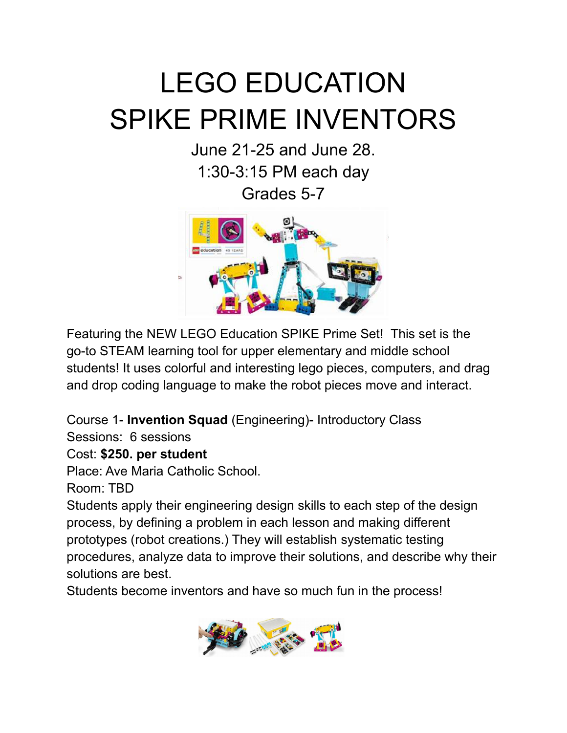# LEGO EDUCATION SPIKE PRIME INVENTORS

June 21-25 and June 28. 1:30-3:15 PM each day Grades 5-7



Featuring the NEW LEGO Education SPIKE Prime Set! This set is the go-to STEAM learning tool for upper elementary and middle school students! It uses colorful and interesting lego pieces, computers, and drag and drop coding language to make the robot pieces move and interact.

Course 1- **Invention Squad** (Engineering)- Introductory Class

Sessions: 6 sessions

#### Cost: **\$250. per student**

Place: Ave Maria Catholic School.

Room: TBD

Students apply their engineering design skills to each step of the design process, by defining a problem in each lesson and making different prototypes (robot creations.) They will establish systematic testing procedures, analyze data to improve their solutions, and describe why their solutions are best.

Students become inventors and have so much fun in the process!

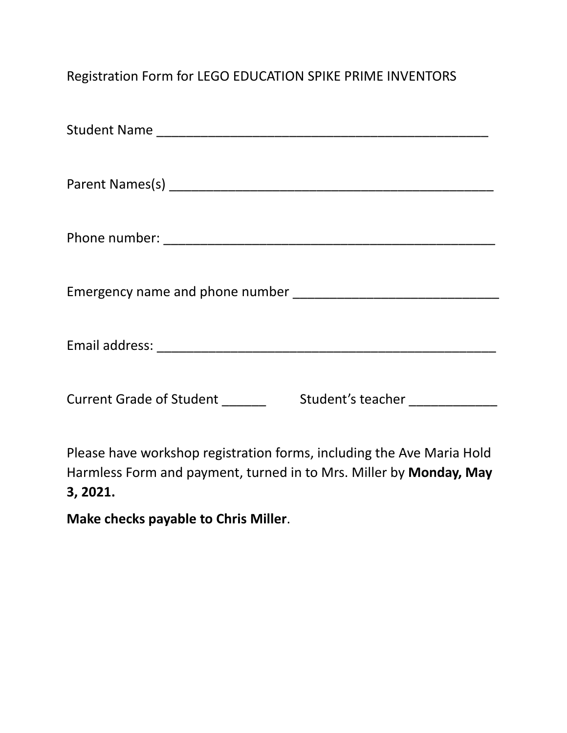### Registration Form for LEGO EDUCATION SPIKE PRIME INVENTORS

| <b>Current Grade of Student</b> | Student's teacher |
|---------------------------------|-------------------|

Please have workshop registration forms, including the Ave Maria Hold Harmless Form and payment, turned in to Mrs. Miller by **Monday, May 3, 2021.**

**Make checks payable to Chris Miller**.